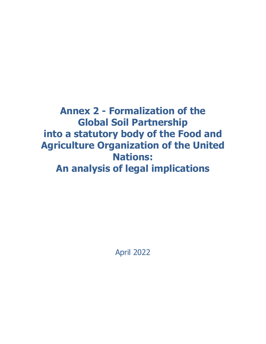**Annex 2 - Formalization of the Global Soil Partnership into a statutory body of the Food and Agriculture Organization of the United Nations: An analysis of legal implications**

April 2022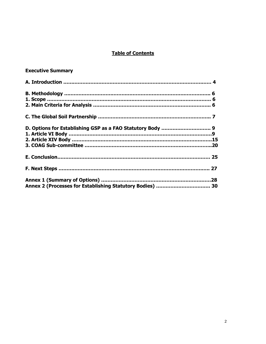# **Table of Contents**

# **Executive Summary**

| Annex 2 (Processes for Establishing Statutory Bodies)  30 |  |
|-----------------------------------------------------------|--|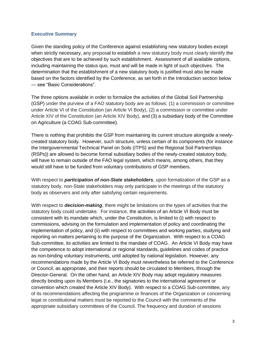#### **Executive Summary**

Given the standing policy of the Conference against establishing new statutory bodies except when strictly necessary, any proposal to establish a new statutory body must clearly identify the objectives that are to be achieved by such establishment. Assessment of all available options, including maintaining the status quo, must and will be made in light of such objectives. The determination that the establishment of a new statutory body is justified must also be made based on the factors identified by the Conference, as set forth in the Introduction section below — see "Basic Considerations".

The three options available in order to formalize the activities of the Global Soil Partnership (GSP) under the purview of a FAO statutory body are as follows: (1) a commission or committee under Article VI of the Constitution (an Article VI Body), (2) a commission or committee under Article XIV of the Constitution (an Article XIV Body), and (3) a subsidiary body of the Committee on Agriculture (a COAG Sub-committee).

There is nothing that prohibits the GSP from maintaining its current structure alongside a newlycreated statutory body. However, such structure, unless certain of its components (for instance the Intergovernmental Technical Panel on Soils (ITPS) and the Regional Soil Partnerships (RSPs)) are allowed to become formal subsidiary bodies of the newly-created statutory body, will have to remain outside of the FAO legal system, which means, among others, that they would still have to be funded from voluntary contributions of GSP members.

With respect to *participation of non-State stakeholders*, upon formalization of the GSP as a statutory body, non-State stakeholders may only participate in the meetings of the statutory body as observers and only after satisfying certain requirements.

With respect to *decision-making*, there might be limitations on the types of activities that the statutory body could undertake. For instance, the activities of an Article VI Body must be consistent with its mandate which, under the Constitution, is limited to (i) with respect to commissions, advising on the formulation and implementation of policy and coordinating the implementation of policy, and (ii) with respect to committees and working parties, studying and reporting on matters pertaining to the purpose of the Organization. With respect to a COAG Sub-committee, its activities are limited to the mandate of COAG. An Article VI Body may have the competence to adopt international or regional standards, guidelines and codes of practice as non-binding voluntary instruments, until adopted by national legislation. However, any recommendations made by the Article VI Body must nevertheless be referred to the Conference or Council, as appropriate, and their reports should be circulated to Members, through the Director-General. On the other hand, an Article XIV Body may adopt regulatory measures directly binding upon its Members (i.e., the signatories to the international agreement or convention which created the Article XIV Body). With respect to a COAG Sub-committee, any of its recommendations affecting the programme or finances of the Organization or concerning legal or constitutional matters must be reported to the Council with the comments of the appropriate subsidiary committees of the Council. The frequency and duration of sessions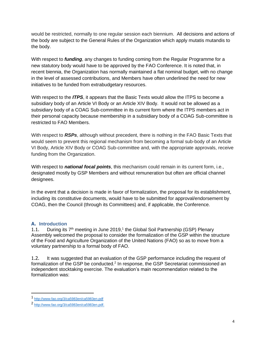would be restricted, normally to one regular session each biennium. All decisions and actions of the body are subject to the General Rules of the Organization which apply mutatis mutandis to the body.

With respect to *funding*, any changes to funding coming from the Regular Programme for a new statutory body would have to be approved by the FAO Conference. It is noted that, in recent biennia, the Organization has normally maintained a flat nominal budget, with no change in the level of assessed contributions, and Members have often underlined the need for new initiatives to be funded from extrabudgetary resources.

With respect to the *ITPS*, it appears that the Basic Texts would allow the ITPS to become a subsidiary body of an Article VI Body or an Article XIV Body. It would not be allowed as a subsidiary body of a COAG Sub-committee in its current form where the ITPS members act in their personal capacity because membership in a subsidiary body of a COAG Sub-committee is restricted to FAO Members.

With respect to *RSPs*, although without precedent, there is nothing in the FAO Basic Texts that would seem to prevent this regional mechanism from becoming a formal sub-body of an Article VI Body, Article XIV Body or COAG Sub-committee and, with the appropriate approvals, receive funding from the Organization.

With respect to *national focal points*, this mechanism could remain in its current form, i.e., designated mostly by GSP Members and without remuneration but often are official channel designees.

In the event that a decision is made in favor of formalization, the proposal for its establishment, including its constitutive documents, would have to be submitted for approval/endorsement by COAG, then the Council (through its Committees) and, if applicable, the Conference.

#### **A. Introduction**

1.1. During its  $7<sup>th</sup>$  meeting in June 2019,<sup>1</sup> the Global Soil Partnership (GSP) Plenary Assembly welcomed the proposal to consider the formalization of the GSP within the structure of the Food and Agriculture Organization of the United Nations (FAO) so as to move from a voluntary partnership to a formal body of FAO.

1.2. It was suggested that an evaluation of the GSP performance including the request of formalization of the GSP be conducted.<sup>2</sup> In response, the GSP Secretariat commissioned an independent stocktaking exercise. The evaluation's main recommendation related to the formalization was:

<sup>1</sup> <http://www.fao.org/3/ca5983en/ca5983en.pdf>

<sup>2</sup> [http://www.fao.org/3/ca5983en/ca5983en.pdf.](http://www.fao.org/3/ca5983en/ca5983en.pdf)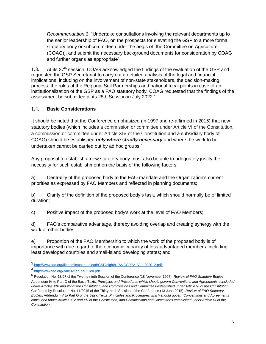*Recommendation 3*: "Undertake consultations involving the relevant departments up to the senior leadership of FAO, on the prospects for elevating the GSP to a more formal statutory body or subcommittee under the aegis of [the Committee on Agriculture (COAG)], and submit the necessary background documents for consideration by COAG and further organs as appropriate".<sup>3</sup>

1.3. At its 27<sup>th</sup> session, COAG acknowledged the findings of the evaluation of the GSP and requested the GSP Secretariat to carry out a detailed analysis of the legal and financial implications, including on the involvement of non-state stakeholders, the decision-making process, the roles of the Regional Soil Partnerships and national focal points in case of an institutionalization of the GSP as a FAO statutory body. COAG requested that the findings of the assessment be submitted at its 28th Session in July 2022.<sup>4</sup>

### 1.4. **Basic Considerations**

It should be noted that the Conference emphasized (in 1997 and re-affirmed in 2015) that new statutory bodies (which includes a commission or committee under Article VI of the Constitution, a commission or committee under Article XIV of the Constitution and a subsidiary body of COAG) should be established *only where strictly necessary* and where the work to be undertaken cannot be carried out by ad hoc groups.<sup>5</sup>

Any proposal to establish a new statutory body must also be able to adequately justify the necessity for such establishment on the basis of the following factors:

a) Centrality of the proposed body to the FAO mandate and the Organization's current priorities as expressed by FAO Members and reflected in planning documents;

b) Clarity of the definition of the proposed body's task, which should normally be of limited duration;

c) Positive impact of the proposed body's work at the level of FAO Members;

d) FAO's comparative advantage, thereby avoiding overlap and creating synergy with the work of other bodies;

e) Proportion of the FAO Membership to which the work of the proposed body is of importance with due regard to the economic capacity of less-advantaged members, including least developed countries and small-island developing states; and

<sup>3</sup> [http://www.fao.org/fileadmin/user\\_upload/GSP/eighth\\_PA/GSPPA\\_VIII\\_2020\\_2.pdf.](http://www.fao.org/fileadmin/user_upload/GSP/eighth_PA/GSPPA_VIII_2020_2.pdf)

<sup>4</sup> [http://www.fao.org/3/ne021en/ne021en.pdf.](http://www.fao.org/3/ne021en/ne021en.pdf)

<sup>5</sup> Resolution No. 13/97 of the Twenty-ninth Session of the Conference (18 November 1997), *Review of FAO Statutory Bodies*, Addendum IV to Part O of the Basic Texts, *Principles and Procedures which should govern Conventions and Agreements concluded under Articles XIV and XV of the Constitution, and Commissions and Committees established under Article VI of the Constitution;*  Confirmed by Resolution No. 11/2015 of the Thirty-ninth Session of the Conference (13 June 2015), *Review of FAO Statutory Bodies*, Addendum V to Part O of the Basic Texts, *Principles and Procedures which should govern Conventions and Agreements concluded under Articles XIV and XV of the Constitution, and Commissions and Committees established under Article VI of the Constitution.*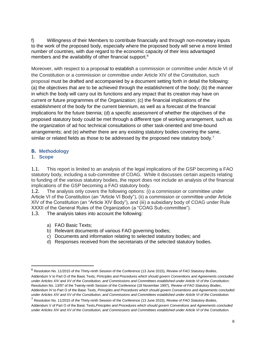f) Willingness of their Members to contribute financially and through non-monetary inputs to the work of the proposed body, especially where the proposed body will serve a more limited number of countries, with due regard to the economic capacity of their less advantaged members and the availability of other financial support.<sup>6</sup>

Moreover, with respect to a proposal to establish a commission or committee under Article VI of the Constitution or a commission or committee under Article XIV of the Constitution, such proposal must be drafted and accompanied by a document setting forth in detail the following: (a) the objectives that are to be achieved through the establishment of the body; (b) the manner in which the body will carry out its functions and any impact that its creation may have on current or future programmes of the Organization; (c) the financial implications of the establishment of the body for the current biennium, as well as a forecast of the financial implications for the future biennia; (d) a specific assessment of whether the objectives of the proposed statutory body could be met through a different type of working arrangement, such as the organization of ad hoc technical consultations or other task-oriented and time-bound arrangements; and (e) whether there are any existing statutory bodies covering the same, similar or related fields as those to be addressed by the proposed new statutory body.<sup>7</sup>

#### **B. Methodology**

#### 1. **Scope**

 $\overline{a}$ 

1.1. This report is limited to an analysis of the legal implications of the GSP becoming a FAO statutory body, including a sub-committee of COAG. While it discusses certain aspects relating to funding of the various statutory bodies, the report does not include an analysis of the financial implications of the GSP becoming a FAO statutory body.

1.2. The analysis only covers the following options: (i) a commission or committee under Article VI of the Constitution (an "Article VI Body"), (ii) a commission or committee under Article XIV of the Constitution (an "Article XIV Body"), and (iii) a subsidiary body of COAG under Rule XXXII of the General Rules of the Organization (a "COAG Sub-committee").

1.3. The analysis takes into account the following:

- a) FAO Basic Texts;
- b) Relevant documents of various FAO governing bodies;
- c) Documents and information relating to selected statutory bodies; and
- d) Responses received from the secretariats of the selected statutory bodies.

<sup>6</sup> Resolution No. 11/2015 of the Thirty-ninth Session of the Conference (13 June 2015), *Review of FAO Statutory Bodies*, Addendum V to Part O of the Basic Texts, *Principles and Procedures which should govern Conventions and Agreements concluded under Articles XIV and XV of the Constitution, and Commissions and Committees established under Article VI of the Constitution;*  Resolution No. 13/97 of the Twenty-ninth Session of the Conference (18 November 1997), *Review of FAO Statutory Bodies*, Addendum IV to Part O of the Basic Texts, *Principles and Procedures which should govern Conventions and Agreements concluded under Articles XIV and XV of the Constitution, and Commissions and Committees established under Article VI of the Constitution.*

<sup>7</sup> Resolution No. 11/2015 of the Thirty-ninth Session of the Conference (13 June 2015), *Review of FAO Statutory Bodies,*  Addendum V of Part O of the Basic Texts,*Principles and Procedures which should govern Conventions and Agreements concluded under Articles XIV and XV of the Constitution, and Commissions and Committees established under Article VI of the Constitution.*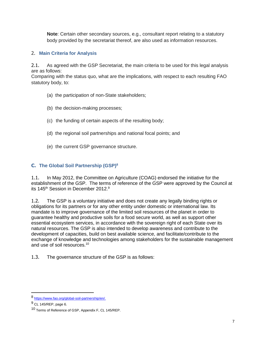**Note**: Certain other secondary sources, e.g., consultant report relating to a statutory body provided by the secretariat thereof, are also used as information resources.

# 2. **Main Criteria for Analysis**

2.1. As agreed with the GSP Secretariat, the main criteria to be used for this legal analysis are as follows:

Comparing with the status quo, what are the implications, with respect to each resulting FAO statutory body, to:

- (a) the participation of non-State stakeholders;
- (b) the decision-making processes;
- (c) the funding of certain aspects of the resulting body;
- (d) the regional soil partnerships and national focal points; and
- (e) the current GSP governance structure.

# **C. The Global Soil Partnership (GSP)<sup>8</sup>**

1.1. In May 2012, the Committee on Agriculture (COAG) endorsed the initiative for the establishment of the GSP. The terms of reference of the GSP were approved by the Council at its 145<sup>th</sup> Session in December 2012.<sup>9</sup>

1.2. The GSP is a voluntary initiative and does not create any legally binding rights or obligations for its partners or for any other entity under domestic or international law. Its mandate is to improve governance of the limited soil resources of the planet in order to guarantee healthy and productive soils for a food secure world, as well as support other essential ecosystem services, in accordance with the sovereign right of each State over its natural resources. The GSP is also intended to develop awareness and contribute to the development of capacities, build on best available science, and facilitate/contribute to the exchange of knowledge and technologies among stakeholders for the sustainable management and use of soil resources.<sup>10</sup>

1.3. The governance structure of the GSP is as follows:

 $\overline{a}$ 

<sup>8&</sup>lt;br>[https://www.fao.org/global-soil-partnership/en/.](https://www.fao.org/global-soil-partnership/en/)

 $9$  CL 145/REP, page 6.

<sup>10</sup> Terms of Reference of GSP, Appendix F, CL 145/REP.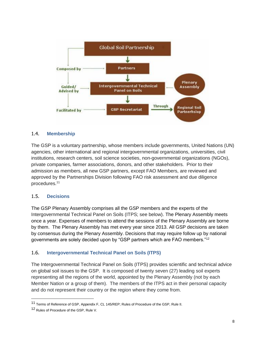

#### 1.4. **Membership**

The GSP is a voluntary partnership, whose members include governments, United Nations (UN) agencies, other international and regional intergovernmental organizations, universities, civil institutions, research centers, soil science societies, non-governmental organizations (NGOs), private companies, farmer associations, donors, and other stakeholders. Prior to their admission as members, all new GSP partners, except FAO Members, are reviewed and approved by the Partnerships Division following FAO risk assessment and due diligence procedures.<sup>11</sup>

#### 1.5. **Decisions**

The GSP Plenary Assembly comprises all the GSP members and the experts of the Intergovernmental Technical Panel on Soils (ITPS; see below). The Plenary Assembly meets once a year. Expenses of members to attend the sessions of the Plenary Assembly are borne by them. The Plenary Assembly has met every year since 2013. All GSP decisions are taken by consensus during the Plenary Assembly. Decisions that may require follow up by national governments are solely decided upon by "GSP partners which are FAO members."<sup>12</sup>

#### 1.6. **Intergovernmental Technical Panel on Soils (ITPS)**

The Intergovernmental Technical Panel on Soils (ITPS) provides scientific and technical advice on global soil issues to the GSP. It is composed of twenty seven (27) leading soil experts representing all the regions of the world, appointed by the Plenary Assembly (not by each Member Nation or a group of them). The members of the ITPS act in their personal capacity and do not represent their country or the region where they come from.

<sup>11</sup> Terms of Reference of GSP, Appendix F, CL 145/REP; Rules of Procedure of the GSP, Rule II.

<sup>12</sup> Rules of Procedure of the GSP, Rule V.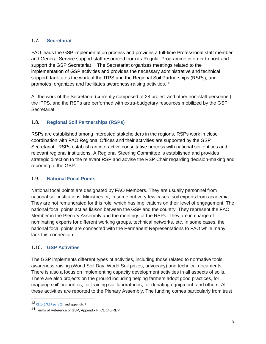### 1.7. **Secretariat**

FAO leads the GSP implementation process and provides a full-time Professional staff member and General Service support staff resourced from its Regular Programme in order to host and support the GSP Secretariat<sup>13</sup>. The Secretariat organizes meetings related to the implementation of GSP activities and provides the necessary administrative and technical support, facilitates the work of the ITPS and the Regional Soil Partnerships (RSPs), and promotes, organizes and facilitates awareness-raising activities.<sup>14</sup>

All the work of the Secretariat (currently composed of 28 project and other non-staff personnel), the ITPS, and the RSPs are performed with extra-budgetary resources mobilized by the GSP Secretariat.

## 1.8. **Regional Soil Partnerships (RSPs)**

RSPs are established among interested stakeholders in the regions. RSPs work in close coordination with FAO Regional Offices and their activities are supported by the GSP Secretariat. RSPs establish an interactive consultative process with national soil entities and relevant regional institutions. A Regional Steering Committee is established and provides strategic direction to the relevant RSP and advise the RSP Chair regarding decision-making and reporting to the GSP.

#### 1.9. **National Focal Points**

[National focal points](https://www.fao.org/global-soil-partnership/partners/country-focal-points/en/) are designated by FAO Members. They are usually personnel from national soil institutions, Ministries or, in some but very few cases, soil experts from academia. They are not remunerated for this role, which has implications on their level of engagement. The national focal points act as liaison between the GSP and the country. They represent the FAO Member in the Plenary Assembly and the meetings of the RSPs. They are in charge of nominating experts for different working groups, technical networks, etc. In some cases, the national focal points are connected with the Permanent Representations to FAO while many lack this connection.

#### 1.10. **GSP Activities**

The GSP implements different types of activities, including those related to normative tools, awareness raising (World Soil Day, World Soil prizes, advocacy) and technical documents. There is also a focus on implementing capacity development activities in all aspects of soils. There are also projects on the ground including helping farmers adopt good practices, for mapping soil' properties, for training soil laboratories, for donating equipment, and others. All these activities are reported to the Plenary Assembly. The funding comes particularly from trust

<sup>13</sup> [CL 145/REP para 24](https://www.fao.org/3/mf558e/mf558e.pdf#page=12) and appendix F

<sup>14</sup> Terms of Reference of GSP, Appendix F, CL 145/REP.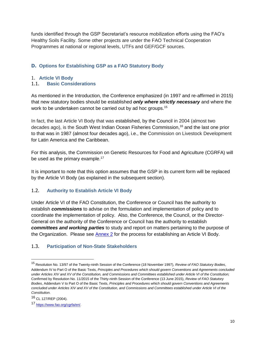funds identified through the GSP Secretariat's resource mobilization efforts using the FAO's Healthy Soils Facility. Some other projects are under the FAO Technical Cooperation Programmes at national or regional levels, UTFs and GEF/GCF sources.

### **D. Options for Establishing GSP as a FAO Statutory Body**

# 1. **Article VI Body**

#### 1.1. **Basic Considerations**

As mentioned in the Introduction, the Conference emphasized (in 1997 and re-affirmed in 2015) that new statutory bodies should be established *only where strictly necessary* and where the work to be undertaken cannot be carried out by ad hoc groups.<sup>15</sup>

In fact, the last Article VI Body that was established, by the Council in 2004 (almost two decades ago), is the South West Indian Ocean Fisheries Commission,<sup>16</sup> and the last one prior to that was in 1987 (almost four decades ago), i.e., the Commission on Livestock Development for Latin America and the Caribbean.

For this analysis, the Commission on Genetic Resources for Food and Agriculture (CGRFA) will be used as the primary example.<sup>17</sup>

It is important to note that this option assumes that the GSP in its current form will be replaced by the Article VI Body (as explained in the subsequent section).

#### 1.2. **Authority to Establish Article VI Body**

Under Article VI of the FAO Constitution, the Conference or Council has the authority to establish *commissions* to advise on the formulation and implementation of policy and to coordinate the implementation of policy. Also, the Conference, the Council, or the Director-General on the authority of the Conference or Council has the authority to establish *committees and working parties* to study and report on matters pertaining to the purpose of the Organization. Please see **Annex 2** for the process for establishing an Article VI Body.

#### 1.3. **Participation of Non-State Stakeholders**

<sup>15</sup> Resolution No. 13/97 of the Twenty-ninth Session of the Conference (18 November 1997), *Review of FAO Statutory Bodies*, Addendum IV to Part O of the Basic Texts, *Principles and Procedures which should govern Conventions and Agreements concluded under Articles XIV and XV of the Constitution, and Commissions and Committees established under Article VI of the Constitution;*  Confirmed by Resolution No. 11/2015 of the Thirty-ninth Session of the Conference (13 June 2015), *Review of FAO Statutory Bodies*, Addendum V to Part O of the Basic Texts, *Principles and Procedures which should govern Conventions and Agreements concluded under Articles XIV and XV of the Constitution, and Commissions and Committees established under Article VI of the Constitution.*

<sup>16</sup> CL 127/REP (2004).

<sup>17</sup> [https://www.fao.org/cgrfa/en/.](https://www.fao.org/cgrfa/en/)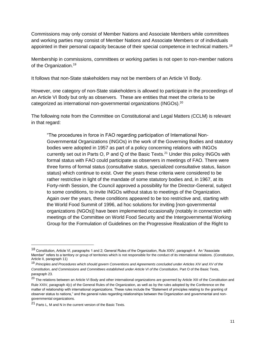Commissions may only consist of Member Nations and Associate Members while committees and working parties may consist of Member Nations and Associate Members or of individuals appointed in their personal capacity because of their special competence in technical matters.<sup>18</sup>

Membership in commissions, committees or working parties is not open to non-member nations of the Organization.<sup>19</sup>

It follows that non-State stakeholders may not be members of an Article VI Body.

However, one category of non-State stakeholders is allowed to participate in the proceedings of an Article VI Body but only as observers. These are entities that meet the criteria to be categorized as international non-governmental organizations (INGOs). $^{20}$ 

The following note from the Committee on Constitutional and Legal Matters (CCLM) is relevant in that regard:

"The procedures in force in FAO regarding participation of International Non-Governmental Organizations (INGOs) in the work of the Governing Bodies and statutory bodies were adopted in 1957 as part of a policy concerning relations with INGOs currently set out in Parts O, P and Q of the Basic Texts.<sup>21</sup> Under this policy INGOs with formal status with FAO could participate as observers in meetings of FAO. There were three forms of formal status (consultative status, specialized consultative status, liaison status) which continue to exist. Over the years these criteria were considered to be rather restrictive in light of the mandate of some statutory bodies and, in 1967, at its Forty-ninth Session, the Council approved a possibility for the Director-General, subject to some conditions, to invite INGOs without status to meetings of the Organization. Again over the years, these conditions appeared to be too restrictive and, starting with the World Food Summit of 1996, ad hoc solutions for inviting [non-governmental organizations (NGOs)] have been implemented occasionally (notably in connection with meetings of the Committee on World Food Security and the Intergovernmental Working Group for the Formulation of Guidelines on the Progressive Realization of the Right to

<sup>18</sup> Constitution, Article VI, paragraphs 1 and 2; General Rules of the Organization, Rule XXIV, paragraph 4. An "Associate Member" refers to a territory or group of territories which is not responsible for the conduct of its international relations. (Constitution, Article II, paragraph 11)

<sup>19</sup> *Principles and Procedures which should govern Conventions and Agreements concluded under Articles XIV and XV of the Constitution, and Commissions and Committees established under Article VI of the Constitution, Part O of the Basic Texts,* paragraph 23.

<sup>&</sup>lt;sup>20</sup> The relations between an Article VI Body and other international organizations are governed by Article XIII of the Constitution and Rule XXIV, paragraph 4(c) of the General Rules of the Organization, as well as by the rules adopted by the Conference on the matter of relationship with international organizations. These rules include the "Statement of principles relating to the granting of observer status to nations," and the general rules regarding relationships between the Organization and governmental and nongovernmental organizations.

<sup>21</sup> Parts L, M and N in the current version of the Basic Texts.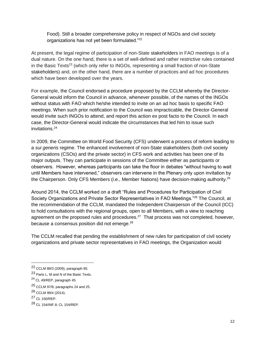Food). Still a broader comprehensive policy in respect of NGOs and civil society organizations has not yet been formulated."<sup>22</sup>

At present, the legal regime of participation of non-State stakeholders in FAO meetings is of a dual nature. On the one hand, there is a set of well-defined and rather restrictive rules contained in the Basic Texts<sup>23</sup> (which only refer to INGOs, representing a small fraction of non-State stakeholders) and, on the other hand, there are a number of practices and ad hoc procedures which have been developed over the years.

For example, the Council endorsed a procedure proposed by the CCLM whereby the Director-General would inform the Council in advance, whenever possible, of the names of the INGOs without status with FAO which he/she intended to invite on an ad hoc basis to specific FAO meetings. When such prior notification to the Council was impracticable, the Director-General would invite such INGOs to attend, and report this action ex post facto to the Council. In each case, the Director-General would indicate the circumstances that led him to issue such invitations.<sup>24</sup>

In 2009, the Committee on World Food Security (CFS) underwent a process of reform leading to a *sui generis* regime. The enhanced involvement of non-State stakeholders (both civil society organizations (CSOs) and the private sector) in CFS work and activities has been one of its major outputs. They can participate in sessions of the Committee either as participants or observers. However, whereas participants can take the floor in debates "without having to wait until Members have intervened," observers can intervene in the Plenary only upon invitation by the Chairperson. Only CFS Members (i.e., Member Nations) have decision-making authority.<sup>25</sup>

Around 2014, the CCLM worked on a draft "Rules and Procedures for Participation of Civil Society Organizations and Private Sector Representatives in FAO Meetings."<sup>26</sup> The Council, at the recommendation of the CCLM, mandated the Independent Chairperson of the Council (ICC) to hold consultations with the regional groups, open to all Members, with a view to reaching agreement on the proposed rules and procedures.<sup>27</sup> That process was not completed, however, because a consensus position did not emerge.<sup>28</sup>

The CCLM recalled that pending the establishment of new rules for participation of civil society organizations and private sector representatives in FAO meetings, the Organization would

<sup>22</sup> CCLM 88/3 (2009), paragraph 85.

<sup>23</sup> Parts L, M and N of the Basic Texts.

<sup>24</sup> CL 49/REP, paragraph 45.

<sup>25</sup> CCLM 97/8, paragraphs 24 and 25.

<sup>26</sup> CCLM 99/4 (2014).

<sup>27</sup> CL 150/REP.

<sup>28</sup> CL 154/INF.8; CL 154/REP.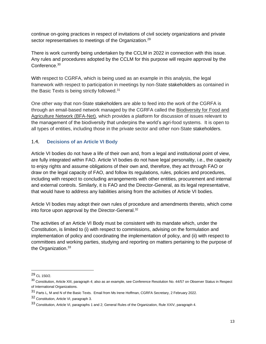continue on-going practices in respect of invitations of civil society organizations and private sector representatives to meetings of the Organization.<sup>29</sup>

There is work currently being undertaken by the CCLM in 2022 in connection with this issue. Any rules and procedures adopted by the CCLM for this purpose will require approval by the Conference.<sup>30</sup>

With respect to CGRFA, which is being used as an example in this analysis, the legal framework with respect to participation in meetings by non-State stakeholders as contained in the Basic Texts is being strictly followed.<sup>31</sup>

One other way that non-State stakeholders are able to feed into the work of the CGRFA is through an email-based network managed by the CGRFA called the [Biodiversity for Food and](https://dgroups.org/fao/bfa-net)  [Agriculture Network \(BFA-Net\),](https://dgroups.org/fao/bfa-net) which provides a platform for discussion of issues relevant to the management of the biodiversity that underpins the world's agri-food systems. It is open to all types of entities, including those in the private sector and other non-State stakeholders.

### 1.4. **Decisions of an Article VI Body**

Article VI bodies do not have a life of their own and, from a legal and institutional point of view, are fully integrated within FAO. Article VI bodies do not have legal personality, i.e., the capacity to enjoy rights and assume obligations of their own and, therefore, they act through FAO or draw on the legal capacity of FAO, and follow its regulations, rules, policies and procedures, including with respect to concluding arrangements with other entities, procurement and internal and external controls. Similarly, it is FAO and the Director-General, as its legal representative, that would have to address any liabilities arising from the activities of Article VI bodies.

Article VI bodies may adopt their own rules of procedure and amendments thereto, which come into force upon approval by the Director-General.<sup>32</sup>

The activities of an Article VI Body must be consistent with its mandate which, under the Constitution, is limited to (i) with respect to commissions, advising on the formulation and implementation of policy and coordinating the implementation of policy, and (ii) with respect to committees and working parties, studying and reporting on matters pertaining to the purpose of the Organization.<sup>33</sup>

 $\overline{a}$ 

<sup>29</sup> CL 150/2.

<sup>30</sup> Constitution, Article XIII, paragraph 4; also as an example, see Conference Resolution No. 44/57 on Observer Status in Respect of International Organizations.

<sup>31</sup> Parts L, M and N of the Basic Texts. Email from Ms Irene Hoffman, CGRFA Secretary, 2 February 2022.

<sup>32</sup> Constitution, Article VI, paragraph 3.

<sup>33</sup> Constitution, Article VI, paragraphs 1 and 2; General Rules of the Organization, Rule XXIV, paragraph 4.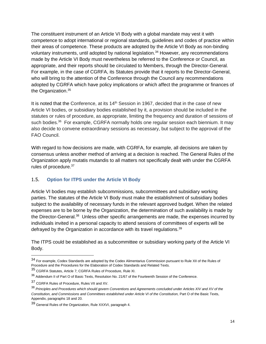The constituent instrument of an Article VI Body with a global mandate may vest it with competence to adopt international or regional standards, guidelines and codes of practice within their areas of competence. These products are adopted by the Article VI Body as non-binding voluntary instruments, until adopted by national legislation.<sup>34</sup> However, any recommendations made by the Article VI Body must nevertheless be referred to the Conference or Council, as appropriate, and their reports should be circulated to Members, through the Director-General. For example, in the case of CGRFA, its Statutes provide that it reports to the Director-General, who will bring to the attention of the Conference through the Council any recommendations adopted by CGRFA which have policy implications or which affect the programme or finances of the Organization.<sup>35</sup>

It is noted that the Conference, at its 14<sup>th</sup> Session in 1967, decided that in the case of new Article VI bodies, or subsidiary bodies established by it, a provision should be included in the statutes or rules of procedure, as appropriate, limiting the frequency and duration of sessions of such bodies.<sup>36</sup> For example, CGRFA normally holds one regular session each biennium. It may also decide to convene extraordinary sessions as necessary, but subject to the approval of the FAO Council.

With regard to how decisions are made, with CGRFA, for example, all decisions are taken by consensus unless another method of arriving at a decision is reached. The General Rules of the Organization apply mutatis mutandis to all matters not specifically dealt with under the CGRFA rules of procedure.<sup>37</sup>

#### 1.5. **Option for ITPS under the Article VI Body**

Article VI bodies may establish subcommissions, subcommittees and subsidiary working parties. The statutes of the Article VI Body must make the establishment of subsidiary bodies subject to the availability of necessary funds in the relevant approved budget. When the related expenses are to be borne by the Organization, the determination of such availability is made by the Director-General.<sup>38</sup> Unless other specific arrangements are made, the expenses incurred by individuals invited in a personal capacity to attend sessions of committees of experts will be defrayed by the Organization in accordance with its travel regulations.<sup>39</sup>

The ITPS could be established as a subcommittee or subsidiary working party of the Article VI Body.

<sup>34</sup> For example, Codex Standards are adopted by the Codex Alimentarius Commission pursuant to Rule XII of the Rules of Procedure and the Procedures for the Elaboration of Codex Standards and Related Texts.

<sup>35</sup> CGRFA Statutes, Article 7; CGRFA Rules of Procedure, Rule XI.

<sup>&</sup>lt;sup>36</sup> Addendum II of Part O of Basic Texts, Resolution No. 21/67 of the Fourteenth Session of the Conference.

<sup>37</sup> CGRFA Rules of Procedure, Rules VII and XV.

<sup>38</sup> *Principles and Procedures which should govern Conventions and Agreements concluded under Articles XIV and XV of the Constitution, and Commissions and Committees established under Article VI of the Constitution, Part O of the Basic Texts,* Appendix, paragraphs 18 and 20.

<sup>39</sup> General Rules of the Organization, Rule XXXVI, paragraph 4.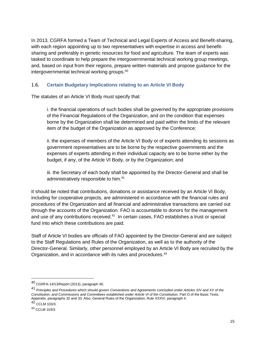In 2013, CGRFA formed a Team of Technical and Legal Experts of Access and Benefit-sharing, with each region appointing up to two representatives with expertise in access and benefitsharing and preferably in genetic resources for food and agriculture. The team of experts was tasked to coordinate to help prepare the intergovernmental technical working group meetings, and, based on input from their regions, prepare written materials and propose guidance for the intergovernmental technical working groups.<sup>40</sup>

#### 1.6. **Certain Budgetary Implications relating to an Article VI Body**

The statutes of an Article VI Body must specify that:

i. the financial operations of such bodies shall be governed by the appropriate provisions of the Financial Regulations of the Organization, and on the condition that expenses borne by the Organization shall be determined and paid within the limits of the relevant item of the budget of the Organization as approved by the Conference;

ii. the expenses of members of the Article VI Body or of experts attending its sessions as government representatives are to be borne by the respective governments and the expenses of experts attending in their individual capacity are to be borne either by the budget, if any, of the Article VI Body, or by the Organization; and

iii. the Secretary of each body shall be appointed by the Director-General and shall be administratively responsible to him.<sup>41</sup>

It should be noted that contributions, donations or assistance received by an Article VI Body, including for cooperative projects, are administered in accordance with the financial rules and procedures of the Organization and all financial and administrative transactions are carried out through the accounts of the Organization. FAO is accountable to donors for the management and use of any contributions received. $42$  In certain cases, FAO establishes a trust or special fund into which these contributions are paid.

Staff of Article VI bodies are officials of FAO appointed by the Director-General and are subject to the Staff Regulations and Rules of the Organization, as well as to the authority of the Director-General. Similarly, other personnel employed by an Article VI Body are recruited by the Organization, and in accordance with its rules and procedures.<sup>43</sup>

 $\overline{a}$ 

<sup>40</sup> CGRFA-14/13/Report (2013), paragraph 40.

<sup>41</sup> *Principles and Procedures which should govern Conventions and Agreements concluded under Articles XIV and XV of the Constitution, and Commissions and Committees established under Article VI of the Constitution, Part O of the Basic Texts,* Appendix, paragraphs 32 and 33. Also, General Rules of the Organization, Rule XXXVI, paragraph 4.

<sup>42</sup> CCLM 103/3.

<sup>43</sup> CCLM 103/3.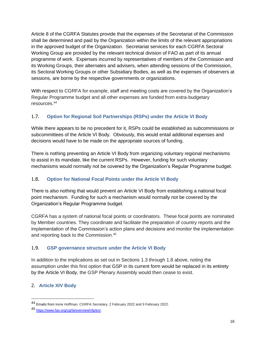Article 8 of the CGRFA Statutes provide that the expenses of the Secretariat of the Commission shall be determined and paid by the Organization within the limits of the relevant appropriations in the approved budget of the Organization. Secretariat services for each CGRFA Sectoral Working Group are provided by the relevant technical division of FAO as part of its annual programme of work. Expenses incurred by representatives of members of the Commission and its Working Groups, their alternates and advisers, when attending sessions of the Commission, its Sectoral Working Groups or other Subsidiary Bodies, as well as the expenses of observers at sessions, are borne by the respective governments or organizations.

With respect to CGRFA for example, staff and meeting costs are covered by the Organization's Regular Programme budget and all other expenses are funded from extra-budgetary resources.<sup>44</sup>

# 1.7. **Option for Regional Soil Partnerships (RSPs) under the Article VI Body**

While there appears to be no precedent for it, RSPs could be established as subcommissions or subcommittees of the Article VI Body. Obviously, this would entail additional expenses and decisions would have to be made on the appropriate sources of funding.

There is nothing preventing an Article VI Body from organizing voluntary regional mechanisms to assist in its mandate, like the current RSPs. However, funding for such voluntary mechanisms would normally not be covered by the Organization's Regular Programme budget.

## 1.8. **Option for National Focal Points under the Article VI Body**

There is also nothing that would prevent an Article VI Body from establishing a national focal point mechanism. Funding for such a mechanism would normally not be covered by the Organization's Regular Programme budget.

CGRFA has a system of national focal points or coordinators. These focal points are nominated by Member countries. They coordinate and facilitate the preparation of country reports and the implementation of the Commission's action plans and decisions and monitor the implementation and reporting back to the Commission.<sup>45</sup>

## 1.9. **GSP governance structure under the Article VI Body**

In addition to the implications as set out in Sections 1.3 through 1.8 above, noting the assumption under this first option that GSP in its current form would be replaced in its entirety by the Article VI Body, the GSP Plenary Assembly would then cease to exist.

# 2. **Article XIV Body**

<sup>44</sup> Emails from Irene Hoffman, CGRFA Secretary, 2 February 2022 and 9 February 2022.

<sup>45</sup> [https://www.fao.org/cgrfa/overview/nfp/en/.](https://www.fao.org/cgrfa/overview/nfp/en/)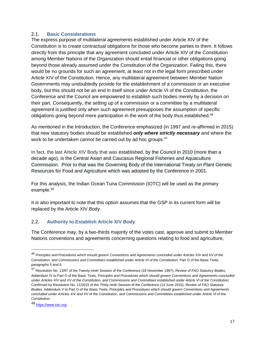#### 2.1. **Basic Considerations**

The express purpose of multilateral agreements established under Article XIV of the Constitution is to create contractual obligations for those who become parties to them. It follows directly from this principle that any agreement concluded under Article XIV of the Constitution among Member Nations of the Organization should entail financial or other obligations going beyond those already assumed under the Constitution of the Organization. Failing this, there would be no grounds for such an agreement, at least not in the legal form prescribed under Article XIV of the Constitution. Hence, any multilateral agreement between Member Nation Governments may undoubtedly provide for the establishment of a commission or an executive body, but this should not be an end in itself since under Article VI of the Constitution, the Conference and the Council are empowered to establish such bodies merely by a decision on their part. Consequently, the setting up of a commission or a committee by a multilateral agreement is justified only when such agreement presupposes the assumption of specific obligations going beyond mere participation in the work of the body thus established.<sup>46</sup>

As mentioned in the Introduction, the Conference emphasized (in 1997 and re-affirmed in 2015) that new statutory bodies should be established *only where strictly necessary* and where the work to be undertaken cannot be carried out by ad hoc groups.<sup>47</sup>

In fact, the last Article XIV Body that was established, by the Council in 2010 (more than a decade ago), is the Central Asian and Caucasus Regional Fisheries and Aquaculture Commission. Prior to that was the Governing Body of the International Treaty on Plant Genetic Resources for Food and Agriculture which was adopted by the Conference in 2001.

For this analysis, the Indian Ocean Tuna Commission (IOTC) will be used as the primary example.<sup>48</sup>

It is also important to note that this option assumes that the GSP in its current form will be replaced by the Article XIV Body.

#### 2.2. **Authority to Establish Article XIV Body**

The Conference may, by a two-thirds majority of the votes cast, approve and submit to Member Nations conventions and agreements concerning questions relating to food and agriculture,

 $\overline{a}$ 

<sup>46</sup> *Principles and Procedures which should govern Conventions and Agreements concluded under Articles XIV and XV of the*  Constitution, and Commissions and Committees established under Article VI of the Constitution, Part O of the Basic Texts, paragraphs 5 and 6.

<sup>47</sup> Resolution No. 13/97 of the Twenty-ninth Session of the Conference (18 November 1997), *Review of FAO Statutory Bodies*, Addendum IV to Part O of the Basic Texts, *Principles and Procedures which should govern Conventions and Agreements concluded under Articles XIV and XV of the Constitution, and Commissions and Committees established under Article VI of the Constitution;*  Confirmed by Resolution No. 11/2015 of the Thirty-ninth Session of the Conference (13 June 2015), *Review of FAO Statutory Bodies*, Addendum V to Part O of the Basic Texts, *Principles and Procedures which should govern Conventions and Agreements concluded under Articles XIV and XV of the Constitution, and Commissions and Committees established under Article VI of the Constitution.*

<sup>48</sup> [https://www.iotc.org.](https://www.iotc.org/)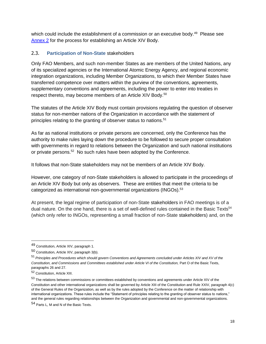which could include the establishment of a commission or an executive body.<sup>49</sup> Please see [Annex 2](https://unfao.sharepoint.com/sites/NSL/GSP/Plenary_Assembly/010_Plenary_Assembly_X/001_Document/ODG_cleared/GSPPA_X_2022_2.docx#annex2_an2) for the process for establishing an Article XIV Body.

#### 2.3. **Participation of Non-State** stakeholders

Only FAO Members, and such non-member States as are members of the United Nations, any of its specialized agencies or the International Atomic Energy Agency, and regional economic integration organizations, including Member Organizations, to which their Member States have transferred competence over matters within the purview of the conventions, agreements, supplementary conventions and agreements, including the power to enter into treaties in respect thereto, may become members of an Article XIV Body.<sup>50</sup>

The statutes of the Article XIV Body must contain provisions regulating the question of observer status for non-member nations of the Organization in accordance with the statement of principles relating to the granting of observer status to nations.<sup>51</sup>

As far as national institutions or private persons are concerned, only the Conference has the authority to make rules laying down the procedure to be followed to secure proper consultation with governments in regard to relations between the Organization and such national institutions or private persons.<sup>52</sup> No such rules have been adopted by the Conference.

It follows that non-State stakeholders may not be members of an Article XIV Body.

However, one category of non-State stakeholders is allowed to participate in the proceedings of an Article XIV Body but only as observers. These are entities that meet the criteria to be categorized as international non-governmental organizations (INGOs). $53$ 

At present, the legal regime of participation of non-State stakeholders in FAO meetings is of a dual nature. On the one hand, there is a set of well-defined rules contained in the Basic Texts<sup>54</sup> (which only refer to INGOs, representing a small fraction of non-State stakeholders) and, on the

<sup>49</sup> Constitution, Article XIV, paragraph 1.

<sup>50</sup> Constitution, Article XIV, paragraph 3(b).

<sup>51</sup> *Principles and Procedures which should govern Conventions and Agreements concluded under Articles XIV and XV of the*  Constitution, and Commissions and Committees established under Article VI of the Constitution, Part O of the Basic Texts, paragraphs 26 and 27.

<sup>52</sup> Constitution, Article XIII.

<sup>53</sup> The relations between commissions or committees established by conventions and agreements under Article XIV of the Constitution and other international organizations shall be governed by Article XIII of the Constitution and Rule XXIV, paragraph 4(c) of the General Rules of the Organization, as well as by the rules adopted by the Conference on the matter of relationship with international organizations. These rules include the "Statement of principles relating to the granting of observer status to nations," and the general rules regarding relationships between the Organization and governmental and non-governmental organizations.

<sup>54</sup> Parts L, M and N of the Basic Texts.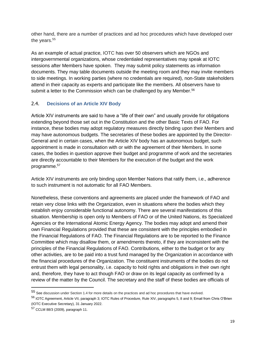other hand, there are a number of practices and ad hoc procedures which have developed over the years.<sup>55</sup>

As an example of actual practice, IOTC has over 50 observers which are NGOs and intergovernmental organizations, whose credentialed representatives may speak at IOTC sessions after Members have spoken. They may submit policy statements as information documents. They may table documents outside the meeting room and they may invite members to side meetings. In working parties (where no credentials are required), non-State stakeholders attend in their capacity as experts and participate like the members. All observers have to submit a letter to the Commission which can be challenged by any Member.<sup>56</sup>

## 2.4. **Decisions of an Article XIV Body**

Article XIV instruments are said to have a "life of their own" and usually provide for obligations extending beyond those set out in the Constitution and the other Basic Texts of FAO. For instance, these bodies may adopt regulatory measures directly binding upon their Members and may have autonomous budgets. The secretaries of these bodies are appointed by the Director-General and in certain cases, when the Article XIV body has an autonomous budget, such appointment is made in consultation with or with the agreement of their Members. In some cases, the bodies in question approve their budget and programme of work and the secretaries are directly accountable to their Members for the execution of the budget and the work programme.<sup>57</sup>

Article XIV instruments are only binding upon Member Nations that ratify them, i.e., adherence to such instrument is not automatic for all FAO Members.

Nonetheless, these conventions and agreements are placed under the framework of FAO and retain very close links with the Organization, even in situations where the bodies which they establish enjoy considerable functional autonomy. There are several manifestations of this situation. Membership is open only to Members of FAO or of the United Nations, its Specialized Agencies or the International Atomic Energy Agency. The bodies may adopt and amend their own Financial Regulations provided that these are consistent with the principles embodied in the Financial Regulations of FAO. The Financial Regulations are to be reported to the Finance Committee which may disallow them, or amendments thereto, if they are inconsistent with the principles of the Financial Regulations of FAO. Contributions, either to the budget or for any other activities, are to be paid into a trust fund managed by the Organization in accordance with the financial procedures of the Organization. The constituent instruments of the bodies do not entrust them with legal personality, i.e. capacity to hold rights and obligations in their own right and, therefore, they have to act though FAO or draw on its legal capacity as confirmed by a review of the matter by the Council. The secretary and the staff of these bodies are officials of

 $55$  See discussion under Section 1.4 for more details on the practices and ad hoc procedures that have evolved.

<sup>56</sup> IOTC Agreement, Article VII, paragraph 3; IOTC Rules of Procedure, Rule XIV, paragraphs 5, 8 and 9; Email from Chris O'Brien (IOTC Executive Secretary), 31 January 2022.

<sup>57</sup> CCLM 88/3 (2009), paragraph 11.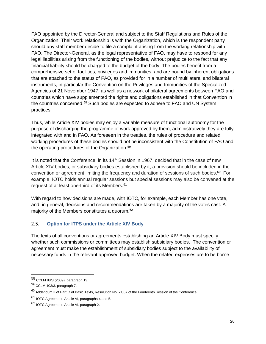FAO appointed by the Director-General and subject to the Staff Regulations and Rules of the Organization. Their work relationship is with the Organization, which is the respondent party should any staff member decide to file a complaint arising from the working relationship with FAO. The Director-General, as the legal representative of FAO, may have to respond for any legal liabilities arising from the functioning of the bodies, without prejudice to the fact that any financial liability should be charged to the budget of the body. The bodies benefit from a comprehensive set of facilities, privileges and immunities, and are bound by inherent obligations that are attached to the status of FAO, as provided for in a number of multilateral and bilateral instruments, in particular the Convention on the Privileges and Immunities of the Specialized Agencies of 21 November 1947, as well as a network of bilateral agreements between FAO and countries which have supplemented the rights and obligations established in that Convention in the countries concerned.<sup>58</sup> Such bodies are expected to adhere to FAO and UN System practices.

Thus, while Article XIV bodies may enjoy a variable measure of functional autonomy for the purpose of discharging the programme of work approved by them, administratively they are fully integrated with and in FAO. As foreseen in the treaties, the rules of procedure and related working procedures of these bodies should not be inconsistent with the Constitution of FAO and the operating procedures of the Organization.<sup>59</sup>

It is noted that the Conference, in its  $14<sup>th</sup>$  Session in 1967, decided that in the case of new Article XIV bodies, or subsidiary bodies established by it, a provision should be included in the convention or agreement limiting the frequency and duration of sessions of such bodies. $^{60}$  For example, IOTC holds annual regular sessions but special sessions may also be convened at the request of at least one-third of its Members.<sup>61</sup>

With regard to how decisions are made, with IOTC, for example, each Member has one vote, and, in general, decisions and recommendations are taken by a majority of the votes cast. A majority of the Members constitutes a quorum.<sup>62</sup>

## 2.5. **Option for ITPS under the Article XIV Body**

The texts of all conventions or agreements establishing an Article XIV Body must specify whether such commissions or committees may establish subsidiary bodies. The convention or agreement must make the establishment of subsidiary bodies subject to the availability of necessary funds in the relevant approved budget. When the related expenses are to be borne

<sup>58</sup> CCLM 88/3 (2009), paragraph 13.

<sup>59</sup> CCLM 103/3, paragraph 7.

<sup>60</sup> Addendum II of Part O of Basic Texts, Resolution No. 21/67 of the Fourteenth Session of the Conference.

<sup>61</sup> IOTC Agreement, Article VI, paragraphs 4 and 5.

<sup>62</sup> IOTC Agreement, Article VI, paragraph 2.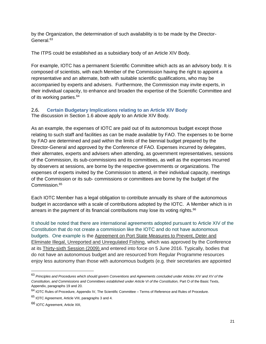by the Organization, the determination of such availability is to be made by the Director-General.<sup>63</sup>

The ITPS could be established as a subsidiary body of an Article XIV Body.

For example, IOTC has a permanent Scientific Committee which acts as an advisory body. It is composed of scientists, with each Member of the Commission having the right to appoint a representative and an alternate, both with suitable scientific qualifications, who may be accompanied by experts and advisers. Furthermore, the Commission may invite experts, in their individual capacity, to enhance and broaden the expertise of the Scientific Committee and of its working parties.<sup>64</sup>

#### 2.6. **Certain Budgetary Implications relating to an Article XIV Body** The discussion in Section 1.6 above apply to an Article XIV Body.

As an example, the expenses of IOTC are paid out of its autonomous budget except those relating to such staff and facilities as can be made available by FAO. The expenses to be borne by FAO are determined and paid within the limits of the biennial budget prepared by the Director-General and approved by the Conference of FAO. Expenses incurred by delegates, their alternates, experts and advisers when attending, as government representatives, sessions of the Commission, its sub-commissions and its committees, as well as the expenses incurred by observers at sessions, are borne by the respective governments or organizations. The expenses of experts invited by the Commission to attend, in their individual capacity, meetings of the Commission or its sub- commissions or committees are borne by the budget of the Commission.<sup>65</sup>

Each IOTC Member has a legal obligation to contribute annually its share of the autonomous budget in accordance with a scale of contributions adopted by the IOTC. A Member which is in arrears in the payment of its financial contributions may lose its voting rights.<sup>66</sup>

It should be noted that there are international agreements adopted pursuant to Article XIV of the Constitution that do not create a commission like the IOTC and do not have autonomous budgets. One example is the [Agreement on Port State Measures to Prevent, Deter and](https://www.fao.org/port-state-measures/resources/detail/en/c/1111616/)  [Eliminate Illegal, Unreported and Unregulated Fishing,](https://www.fao.org/port-state-measures/resources/detail/en/c/1111616/) which was approved by the Conference at its [Thirty-sixth Session \(2009\)](https://www.fao.org/bodies/conf/c2009/en/) and entered into force on 5 June 2016. Typically, bodies that do not have an autonomous budget and are resourced from Regular Programme resources enjoy less autonomy than those with autonomous budgets (e.g. their secretaries are appointed

<sup>63</sup> *Principles and Procedures which should govern Conventions and Agreements concluded under Articles XIV and XV of the Constitution, and Commissions and Committees established under Article VI of the Constitution, Part O of the Basic Texts,* Appendix, paragraphs 19 and 20.

<sup>64</sup> IOTC Rules of Procedure, Appendix IV, The Scientific Committee – Terms of Reference and Rules of Procedure.

<sup>&</sup>lt;sup>65</sup> IOTC Agreement, Article VIII, paragraphs 3 and 4.

<sup>66</sup> IOTC Agreement, Article XIII,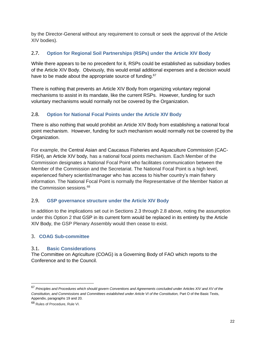by the Director-General without any requirement to consult or seek the approval of the Article XIV bodies).

### 2.7. **Option for Regional Soil Partnerships (RSPs) under the Article XIV Body**

While there appears to be no precedent for it, RSPs could be established as subsidiary bodies of the Article XIV Body. Obviously, this would entail additional expenses and a decision would have to be made about the appropriate source of funding.<sup>67</sup>

There is nothing that prevents an Article XIV Body from organizing voluntary regional mechanisms to assist in its mandate, like the current RSPs. However, funding for such voluntary mechanisms would normally not be covered by the Organization.

### 2.8. **Option for National Focal Points under the Article XIV Body**

There is also nothing that would prohibit an Article XIV Body from establishing a national focal point mechanism. However, funding for such mechanism would normally not be covered by the Organization.

For example, the Central Asian and Caucasus Fisheries and Aquaculture Commission (CAC-FISH), an Article XIV body, has a national focal points mechanism. Each Member of the Commission designates a National Focal Point who facilitates communication between the Member of the Commission and the Secretariat. The National Focal Point is a high level, experienced fishery scientist/manager who has access to his/her country's main fishery information. The National Focal Point is normally the Representative of the Member Nation at the Commission sessions.<sup>68</sup>

#### 2.9. **GSP governance structure under the Article XIV Body**

In addition to the implications set out in Sections 2.3 through 2.8 above, noting the assumption under this Option 2 that GSP in its current form would be replaced in its entirety by the Article XIV Body, the GSP Plenary Assembly would then cease to exist.

#### 3. **COAG Sub-committee**

#### 3.1. **Basic Considerations**

The Committee on Agriculture (COAG) is a Governing Body of FAO which reports to the Conference and to the Council.

 $\overline{a}$ 

<sup>67</sup> *Principles and Procedures which should govern Conventions and Agreements concluded under Articles XIV and XV of the Constitution, and Commissions and Committees established under Article VI of the Constitution, Part O of the Basic Texts,* Appendix, paragraphs 19 and 20.

<sup>68</sup> Rules of Procedure, Rule VI.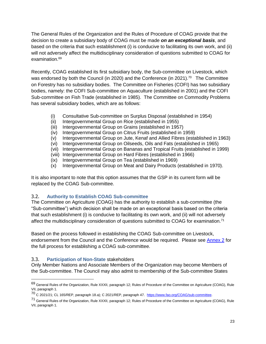The General Rules of the Organization and the Rules of Procedure of COAG provide that the decision to create a subsidiary body of COAG must be made *on an exceptional basis*, and based on the criteria that such establishment (i) is conducive to facilitating its own work, and (ii) will not adversely affect the multidisciplinary consideration of questions submitted to COAG for examination.<sup>69</sup>

Recently, COAG established its first subsidiary body, the Sub-committee on Livestock, which was endorsed by both the Council (in 2020) and the Conference (in 2021).<sup>70</sup> The Committee on Forestry has no subsidiary bodies. The Committee on Fisheries (COFI) has two subsidiary bodies, namely: the COFI Sub-committee on Aquaculture (established in 2001) and the COFI Sub-committee on Fish Trade (established in 1985). The Committee on Commodity Problems has several subsidiary bodies, which are as follows:

- (i) Consultative Sub-committee on Surplus Disposal (established in 1954)
- (ii) Intergovernmental Group on Rice (established in 1955)
- (iii) Intergovernmental Group on Grains (established in 1957)
- (iv) Intergovernmental Group on Citrus Fruits (established in 1959)
- (v) Intergovernmental Group on Jute, Kenaf and Allied Fibres (established in 1963)
- (vi) Intergovernmental Group on Oilseeds, Oils and Fats (established in 1965)
- (vii) Intergovernmental Group on Bananas and Tropical Fruits (established in 1999)
- (viii) Intergovernmental Group on Hard Fibres (established in 1966)
- (ix) Intergovernmental Group on Tea (established in 1969)
- (x) Intergovernmental Group on Meat and Dairy Products (established in 1970).

It is also important to note that this option assumes that the GSP in its current form will be replaced by the COAG Sub-committee.

#### 3.2. **Authority to Establish COAG Sub-committee**

The Committee on Agriculture (COAG) has the authority to establish a sub-committee (the "Sub-committee") which decision shall be made on an exceptional basis based on the criteria that such establishment (i) is conducive to facilitating its own work, and (ii) will not adversely affect the multidisciplinary consideration of questions submitted to COAG for examination.<sup>71</sup>

Based on the process followed in establishing the COAG Sub-committee on Livestock, endorsement from the Council and the Conference would be required. Please see [Annex 2](https://unfao.sharepoint.com/sites/NSL/GSP/Plenary_Assembly/010_Plenary_Assembly_X/001_Document/ODG_cleared/GSPPA_X_2022_2.docx#annex2_an2) for the full process for establishing a COAG sub-committee.

#### 3.3. **Participation of Non-State** stakeholders

 $\overline{a}$ 

Only Member Nations and Associate Members of the Organization may become Members of the Sub-committee. The Council may also admit to membership of the Sub-committee States

<sup>69</sup> General Rules of the Organization, Rule XXXII, paragraph 12; Rules of Procedure of the Committee on Agriculture (COAG), Rule VII, paragraph 1.

<sup>&</sup>lt;sup>70</sup> C 2021/21; CL 165/REP, paragraph 18.a); C 2021/REP, paragraph 47. [https://www.fao.org/COAG/sub-committee.](https://www.fao.org/COAG/sub-committee)

<sup>71</sup> General Rules of the Organization, Rule XXXII, paragraph 12; Rules of Procedure of the Committee on Agriculture (COAG), Rule VII, paragraph 1.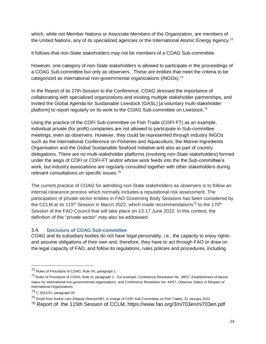which, while not Member Nations or Associate Members of the Organization, are members of the United Nations, any of its specialized agencies or the International Atomic Energy Agency.<sup>72</sup>

It follows that non-State stakeholders may not be members of a COAG Sub-committee.

However, one category of non-State stakeholders is allowed to participate in the proceedings of a COAG Sub-committee but only as observers. These are entities that meet the criteria to be categorized as international non-governmental organizations (INGOs).<sup>73</sup>

In the Report of its 27th Session to the Conference, COAG stressed the importance of collaborating with specialized organizations and existing multiple stakeholder partnerships, and invited the Global Agenda for Sustainable Livestock (GASL) [a voluntary multi-stakeholder platform] to report regularly on its work to the COAG Sub-committee on Livestock.<sup>74</sup>

Using the practice of the COFI Sub-committee on Fish Trade (COFI-FT) as an example, individual private (for profit) companies are not allowed to participate in Sub-committee meetings, even as observers. However, they could be represented through industry INGOs such as the International Conference on Fisheries and Aquaculture, the Marine Ingredients Organisation and the Global Sustainable Seafood Initiative and also as part of country delegations. There are no multi-stakeholder platforms (involving non-State stakeholders) formed under the aegis of COFI or COFI-FT and/or whose work feeds into the the Sub-committee's work, but industry associations are regularly consulted together with other stakeholders during relevant consultations on specific issues.<sup>75</sup>

The current practice of COAG for admitting non-State stakeholders as observers is to follow an internal clearance process which normally includes a reputational risk assessment. The participation of private sector entities in FAO Governing Body Sessions has been considered by the CCLM at its 115<sup>th</sup> Session in March 2022, which made recommendations<sup>76</sup> to the 170<sup>th</sup> Session of the FAO Council that will take place on 13-17 June 2022. In this context, the definition of the "private sector" may also be addressed.

#### 3.4. **Decisions of COAG Sub-committee**

COAG and its subsidiary bodies do not have legal personality, i.e., the capacity to enjoy rights and assume obligations of their own and, therefore, they have to act through FAO or draw on the legal capacity of FAO, and follow its regulations, rules policies and procedures, including

 $\overline{a}$ 

<sup>72</sup> Rules of Procedure of COAG, Rule VII, paragraph 1.

<sup>73</sup> Rules of Procedure of COAG, Rule III, paragraph 1. For example, Conference Resolution No. 39/57, *Establishment of liaison status for international non-governmental organizations*, and Conference Resolution No. 44/57, *Observer Status in Respect of International Organizations*.

<sup>74</sup> C 2021/21, paragraph 20.

<sup>75</sup> Email from Audun Lem (Deputy Director/NFI, in charge of COFI Sub-Committee on Fish Trade), 31 January 2022.

<sup>76</sup> Report of the 115th Session of CCLM, https://www.fao.org/3/ni703en/ni703en.pdf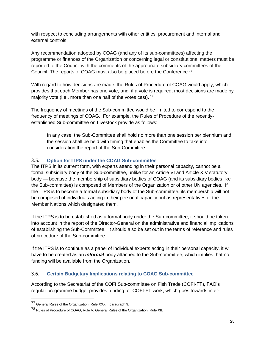with respect to concluding arrangements with other entities, procurement and internal and external controls.

Any recommendation adopted by COAG (and any of its sub-committees) affecting the programme or finances of the Organization or concerning legal or constitutional matters must be reported to the Council with the comments of the appropriate subsidiary committees of the Council. The reports of COAG must also be placed before the Conference.<sup>77</sup>

With regard to how decisions are made, the Rules of Procedure of COAG would apply, which provides that each Member has one vote, and, if a vote is required, most decisions are made by majority vote (i.e., more than one half of the votes cast). $^{78}$ 

The frequency of meetings of the Sub-committee would be limited to correspond to the frequency of meetings of COAG. For example, the Rules of Procedure of the recentlyestablished Sub-committee on Livestock provide as follows:

In any case, the Sub-Committee shall hold no more than one session per biennium and the session shall be held with timing that enables the Committee to take into consideration the report of the Sub-Committee.

### 3.5. **Option for ITPS under the COAG Sub-committee**

The ITPS in its current form, with experts attending in their personal capacity, cannot be a formal subsidiary body of the Sub-committee, unlike for an Article VI and Article XIV statutory body — because the membership of subsidiary bodies of COAG (and its subsidiary bodies like the Sub-committee) is composed of Members of the Organization or of other UN agencies. If the ITPS is to become a formal subsidiary body of the Sub-committee, its membership will not be composed of individuals acting in their personal capacity but as representatives of the Member Nations which designated them.

If the ITPS is to be established as a formal body under the Sub-committee, it should be taken into account in the report of the Director-General on the administrative and financial implications of establishing the Sub-Committee. It should also be set out in the terms of reference and rules of procedure of the Sub-committee.

If the ITPS is to continue as a panel of individual experts acting in their personal capacity, it will have to be created as an *informal* body attached to the Sub-committee, which implies that no funding will be available from the Organization.

#### 3.6. **Certain Budgetary Implications relating to COAG Sub-committee**

According to the Secretariat of the COFI Sub-committee on Fish Trade (COFI-FT), FAO's regular programme budget provides funding for COFI-FT work, which goes towards inter-

<sup>77</sup> General Rules of the Organization, Rule XXXII, paragraph 9.

<sup>78</sup> Rules of Procedure of COAG, Rule V; General Rules of the Organization, Rule XII.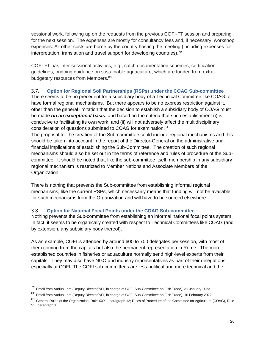sessional work, following up on the requests from the previous COFI-FT session and preparing for the next session. The expenses are mostly for consultancy fees and, if necessary, workshop expenses. All other costs are borne by the country hosting the meeting (including expenses for interpretation, translation and travel support for developing countries).<sup>79</sup>

COFI-FT has inter-sessional activities, e.g., catch documentation schemes, certification guidelines, ongoing guidance on sustainable aquaculture, which are funded from extrabudgetary resources from Members.<sup>80</sup>

## 3.7. **Option for Regional Soil Partnerships (RSPs) under the COAG Sub-committee**

There seems to be no precedent for a subsidiary body of a Technical Committee like COAG to have formal regional mechanisms. But there appears to be no express restriction against it, other than the general limitation that the decision to establish a subsidiary body of COAG must be made *on an exceptional basis*, and based on the criteria that such establishment (i) is conducive to facilitating its own work, and (ii) will not adversely affect the multidisciplinary consideration of questions submitted to COAG for examination.<sup>81</sup>

The proposal for the creation of the Sub-committee could include regional mechanisms and this should be taken into account in the report of the Director-General on the administrative and financial implications of establishing the Sub-Committee. The creation of such regional mechanisms should also be set out in the terms of reference and rules of procedure of the Subcommittee. It should be noted that, like the sub-committee itself, membership in any subsidiary regional mechanism is restricted to Member Nations and Associate Members of the Organization.

There is nothing that prevents the Sub-committee from establishing informal regional mechanisms, like the current RSPs, which necessarily means that funding will not be available for such mechanisms from the Organization and will have to be sourced elsewhere.

## 3.8. **Option for National Focal Points under the COAG Sub-committee**

Nothing prevents the Sub-committee from establishing an informal national focal points system. In fact, it seems to be organically created with respect to Technical Committees like COAG (and by extension, any subsidiary body thereof).

As an example, COFI is attended by around 600 to 700 delegates per session, with most of them coming from the capitals but also the permanent representation in Rome. The more established countries in fisheries or aquaculture normally send high-level experts from their capitals. They may also have NGO and industry representatives as part of their delegations, especially at COFI. The COFI sub-committees are less political and more technical and the

<sup>79</sup> Email from Audun Lem (Deputy Director/NFI, in charge of COFI Sub-Committee on Fish Trade), 31 January 2022.

<sup>80</sup> Email from Audun Lem (Deputy Director/NFI, in charge of COFI Sub-Committee on Fish Trade), 10 February 2022.

<sup>81</sup> General Rules of the Organization, Rule XXXII, paragraph 12; Rules of Procedure of the Committee on Agriculture (COAG), Rule VII, paragraph 1.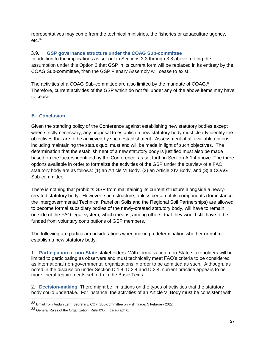representatives may come from the technical ministries, the fisheries or aquaculture agency, etc. 82

#### 3.9. **GSP governance structure under the COAG Sub-committee**

In addition to the implications as set out in Sections 3.3 through 3.8 above, noting the assumption under this Option 3 that GSP in its current form will be replaced in its entirety by the COAG Sub-committee, then the GSP Plenary Assembly will cease to exist.

The activities of a COAG Sub-committee are also limited by the mandate of COAG.<sup>83</sup> Therefore, current activities of the GSP which do not fall under any of the above items may have to cease.

### **E. Conclusion**

Given the standing policy of the Conference against establishing new statutory bodies except when strictly necessary, any proposal to establish a new statutory body must clearly identify the objectives that are to be achieved by such establishment. Assessment of all available options, including maintaining the status quo, must and will be made in light of such objectives. The determination that the establishment of a new statutory body is justified must also be made based on the factors identified by the Conference, as set forth in Section A.1.4 above. The three options available in order to formalize the activities of the GSP under the purview of a FAO statutory body are as follows: (1) an Article VI Body, (2) an Article XIV Body, and (3) a COAG Sub-committee.

There is nothing that prohibits GSP from maintaining its current structure alongside a newlycreated statutory body. However, such structure, unless certain of its components (for instance the Intergovernmental Technical Panel on Soils and the Regional Soil Partnerships) are allowed to become formal subsidiary bodies of the newly-created statutory body, will have to remain outside of the FAO legal system, which means, among others, that they would still have to be funded from voluntary contributions of GSP members.

The following are particular considerations when making a determination whether or not to establish a new statutory body:

1. **Participation of non-State** stakeholders: With formalization, non-State stakeholders will be limited to participating as observers and must technically meet FAO's criteria to be considered as international non-governmental organizations in order to be admitted as such. Although, as noted in the discussion under Section D.1.4, D.2.4 and D.3.4, current practice appears to be more liberal requirements set forth in the Basic Texts.

2. **Decision-making**: There might be limitations on the types of activities that the statutory body could undertake. For instance, the activities of an Article VI Body must be consistent with

<sup>82</sup> Email from Audun Lem, Secretary, COFI Sub-committee on Fish Trade, 5 February 2022.

<sup>83</sup> General Rules of the Organization, Rule XXXII, paragraph 6.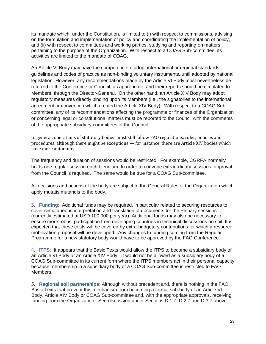its mandate which, under the Constitution, is limited to (i) with respect to commissions, advising on the formulation and implementation of policy and coordinating the implementation of policy, and (ii) with respect to committees and working parties, studying and reporting on matters pertaining to the purpose of the Organization. With respect to a COAG Sub-committee, its activities are limited to the mandate of COAG.

An Article VI Body may have the competence to adopt international or regional standards, guidelines and codes of practice as non-binding voluntary instruments, until adopted by national legislation. However, any recommendations made by the Article VI Body must nevertheless be referred to the Conference or Council, as appropriate, and their reports should be circulated to Members, through the Director-General. On the other hand, an Article XIV Body may adopt regulatory measures directly binding upon its Members (i.e., the signatories to the international agreement or convention which created the Article XIV Body). With respect to a COAG Subcommittee, any of its recommendations affecting the programme or finances of the Organization or concerning legal or constitutional matters must be reported to the Council with the comments of the appropriate subsidiary committees of the Council.

In general, operations of statutory bodies must still follow FAO regulations, rules, policies and procedures, although there might be exceptions — for instance, there are Article XIV bodies which have more autonomy.

The frequency and duration of sessions would be restricted. For example, CGRFA normally holds one regular session each biennium. In order to convene extraordinary sessions, approval from the Council is required. The same would be true for a COAG Sub-committee.

All decisions and actions of the body are subject to the General Rules of the Organization which apply mutatis mutandis to the body.

3. **Funding**: Additional funds may be required, in particular related to securing resources to cover simultaneous interpretation and translation of documents for the Plenary sessions (currently estimated at USD 100 000 per year). Additional funds may also be necessary to ensure more robust participation from developing countries in technical discussions on soil. It is expected that these costs will be covered by extra-budgetary contributions for which a resource mobilization proposal will be developed. Any changes to funding coming from the Regular Programme for a new statutory body would have to be approved by the FAO Conference.

4. **ITPS**: It appears that the Basic Texts would allow the ITPS to become a subsidiary body of an Article VI Body or an Article XIV Body. It would not be allowed as a subsidiary body of a COAG Sub-committee in its current form where the ITPS members act in their personal capacity because membership in a subsidiary body of a COAG Sub-committee is restricted to FAO Members.

5. **Regional soil partnerships**: Although without precedent and, there is nothing in the FAO Basic Texts that prevent this mechanism from becoming a formal sub-body of an Article VI Body, Article XIV Body or COAG Sub-committee and, with the appropriate approvals, receiving funding from the Organization. See discussion under Sections D.1.7, D.2.7 and D.3.7 above.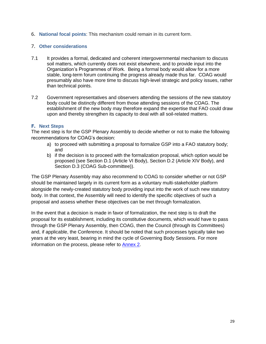6. **National focal points**: This mechanism could remain in its current form.

#### 7. **Other considerations**

- 7.1 It provides a formal, dedicated and coherent intergovernmental mechanism to discuss soil matters, which currently does not exist elsewhere, and to provide input into the Organization's Programmes of Work. Being a formal body would allow for a more stable, long-term forum continuing the progress already made thus far. COAG would presumably also have more time to discuss high-level strategic and policy issues, rather than technical points.
- 7.2 Government representatives and observers attending the sessions of the new statutory body could be distinctly different from those attending sessions of the COAG. The establishment of the new body may therefore expand the expertise that FAO could draw upon and thereby strengthen its capacity to deal with all soil-related matters.

#### **F. Next Steps**

The next step is for the GSP Plenary Assembly to decide whether or not to make the following recommendations for COAG's decision:

- a) to proceed with submitting a proposal to formalize GSP into a FAO statutory body; and
- b) if the decision is to proceed with the formalization proposal, which option would be proposed (see Section D.1 (Article VI Body), Section D.2 (Article XIV Body), and Section D.3 (COAG Sub-committee)).

The GSP Plenary Assembly may also recommend to COAG to consider whether or not GSP should be maintained largely in its current form as a voluntary multi-stakeholder platform alongside the newly-created statutory body providing input into the work of such new statutory body. In that context, the Assembly will need to identify the specific objectives of such a proposal and assess whether these objectives can be met through formalization.

In the event that a decision is made in favor of formalization, the next step is to draft the proposal for its establishment, including its constitutive documents, which would have to pass through the GSP Plenary Assembly, then COAG, then the Council (through its Committees) and, if applicable, the Conference. It should be noted that such processes typically take two years at the very least, bearing in mind the cycle of Governing Body Sessions. For more information on the process, please refer to [Annex 2.](https://unfao.sharepoint.com/sites/NSL/GSP/Plenary_Assembly/010_Plenary_Assembly_X/001_Document/ODG_cleared/GSPPA_X_2022_2.docx#annex2_an2)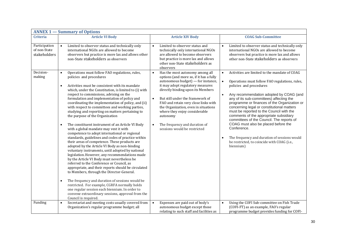| <b>ANNEX 1 – Summary of Options</b>           |                                                                                                                                                                                                                                                                                                                                                                                                                                                                                                                                                                                                                                                                                                                                                                                                                                                                                                                                                                                                                                                                                                                                                                                                                                                                                                                                                                                     |                                                                                                                                                                                                                                                                                                                                                                                                                                                       |                                                                                                                                                                                                                                                                                                                                                                                                                                                                                                                                                                                                                                                             |  |
|-----------------------------------------------|-------------------------------------------------------------------------------------------------------------------------------------------------------------------------------------------------------------------------------------------------------------------------------------------------------------------------------------------------------------------------------------------------------------------------------------------------------------------------------------------------------------------------------------------------------------------------------------------------------------------------------------------------------------------------------------------------------------------------------------------------------------------------------------------------------------------------------------------------------------------------------------------------------------------------------------------------------------------------------------------------------------------------------------------------------------------------------------------------------------------------------------------------------------------------------------------------------------------------------------------------------------------------------------------------------------------------------------------------------------------------------------|-------------------------------------------------------------------------------------------------------------------------------------------------------------------------------------------------------------------------------------------------------------------------------------------------------------------------------------------------------------------------------------------------------------------------------------------------------|-------------------------------------------------------------------------------------------------------------------------------------------------------------------------------------------------------------------------------------------------------------------------------------------------------------------------------------------------------------------------------------------------------------------------------------------------------------------------------------------------------------------------------------------------------------------------------------------------------------------------------------------------------------|--|
| <b>Criteria</b>                               | <b>Article VI Body</b>                                                                                                                                                                                                                                                                                                                                                                                                                                                                                                                                                                                                                                                                                                                                                                                                                                                                                                                                                                                                                                                                                                                                                                                                                                                                                                                                                              | <b>Article XIV Body</b>                                                                                                                                                                                                                                                                                                                                                                                                                               | <b>COAG Sub-Committee</b>                                                                                                                                                                                                                                                                                                                                                                                                                                                                                                                                                                                                                                   |  |
| Participation<br>of non-State<br>stakeholders | Limited to observer status and technically only<br>$\bullet$<br>international NGOs are allowed to become<br>observers but practice is more lax and allows other<br>non-State stakeholders as observers                                                                                                                                                                                                                                                                                                                                                                                                                                                                                                                                                                                                                                                                                                                                                                                                                                                                                                                                                                                                                                                                                                                                                                              | Limited to observer status and<br>technically only international NGOs<br>are allowed to become observers<br>but practice is more lax and allows<br>other non-State stakeholders as<br>observers                                                                                                                                                                                                                                                       | Limited to observer status and technically only<br>international NGOs are allowed to become<br>observers but practice is more lax and allows<br>other non-State stakeholders as observers                                                                                                                                                                                                                                                                                                                                                                                                                                                                   |  |
| Decision-<br>making                           | Operations must follow FAO regulations, rules,<br>$\bullet$<br>policies and procedures<br>Activities must be consistent with its mandate<br>$\bullet$<br>which, under the Constitution, is limited to (i) with<br>respect to commissions, advising on the<br>formulation and implementation of policy and<br>coordinating the implementation of policy, and (ii)<br>with respect to committees and working parties,<br>studying and reporting on matters pertaining to<br>the purpose of the Organization<br>The constituent instrument of an Article VI Body<br>$\bullet$<br>with a global mandate may vest it with<br>competence to adopt international or regional<br>standards, guidelines and codes of practice within<br>their areas of competence. These products are<br>adopted by the Article VI Body as non-binding<br>voluntary instruments, until adopted by national<br>legislation. However, any recommendations made<br>by the Article VI Body must nevertheless be<br>referred to the Conference or Council, as<br>appropriate, and their reports should be circulated<br>to Members, through the Director-General.<br>The frequency and duration of sessions would be<br>$\bullet$<br>restricted. For example, CGRFA normally holds<br>one regular session each biennium. In order to<br>convene extraordinary sessions, approval from the<br>Council is required. | Has the most autonomy among all<br>$\bullet$<br>options (and more so, if it has a fully<br>autonomous budget) - for instance,<br>it may adopt regulatory measures<br>directly binding upon its Members<br>But still under the framework of<br>$\bullet$<br>FAO and retain very close links with<br>the Organization, even in situations<br>where they enjoy considerable<br>autonomy<br>The frequency and duration of<br>sessions would be restricted | Activities are limited to the mandate of COAG<br>$\bullet$<br>Operations must follow FAO regulations, rules,<br>$\bullet$<br>policies and procedures<br>Any recommendation adopted by COAG (and<br>$\bullet$<br>any of its sub-committees) affecting the<br>programme or finances of the Organization or<br>concerning legal or constitutional matters<br>must be reported to the Council with the<br>comments of the appropriate subsidiary<br>committees of the Council. The reports of<br>COAG must also be placed before the<br>Conference.<br>The frequency and duration of sessions would<br>be restricted, to coincide with COAG (i.e.,<br>biennium) |  |
| Funding                                       | Secretariat and meeting costs usually covered from<br>$\bullet$<br>Organization's regular programme budget; all                                                                                                                                                                                                                                                                                                                                                                                                                                                                                                                                                                                                                                                                                                                                                                                                                                                                                                                                                                                                                                                                                                                                                                                                                                                                     | Expenses are paid out of body's<br>$\bullet$<br>autonomous budget except those<br>relating to such staff and facilities as                                                                                                                                                                                                                                                                                                                            | Using the COFI Sub-committee on Fish Trade<br>$\bullet$<br>(COFI-FT) as an example, FAO's regular<br>programme budget provides funding for COFI-                                                                                                                                                                                                                                                                                                                                                                                                                                                                                                            |  |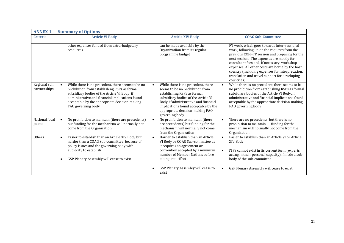| <b>ANNEX 1 – Summary of Options</b> |                                                                                                                                                                                                                                                                                          |                                                                                                                                                                                                                                                                                   |                                                                                                                                                                                                                                                                                                                                                                                                               |  |  |
|-------------------------------------|------------------------------------------------------------------------------------------------------------------------------------------------------------------------------------------------------------------------------------------------------------------------------------------|-----------------------------------------------------------------------------------------------------------------------------------------------------------------------------------------------------------------------------------------------------------------------------------|---------------------------------------------------------------------------------------------------------------------------------------------------------------------------------------------------------------------------------------------------------------------------------------------------------------------------------------------------------------------------------------------------------------|--|--|
| <b>Criteria</b>                     | <b>Article VI Body</b>                                                                                                                                                                                                                                                                   | <b>Article XIV Body</b>                                                                                                                                                                                                                                                           | <b>COAG Sub-Committee</b>                                                                                                                                                                                                                                                                                                                                                                                     |  |  |
|                                     | other expenses funded from extra-budgetary<br>resources                                                                                                                                                                                                                                  | can be made available by the<br>Organizatiion from its regular<br>programme budget                                                                                                                                                                                                | FT work, which goes towards inter-sessional<br>work, following up on the requests from the<br>previous COFI-FT session and preparing for the<br>next session. The expenses are mostly for<br>consultant fees and, if necessary, workshop<br>expenses. All other costs are borne by the host<br>country (including expenses for interpretation,<br>translation and travel support for developing<br>countries) |  |  |
| Regional soil<br>partnerships       | While there is no precedent, there seems to be no<br>$\bullet$<br>prohibition from establishing RSPs as formal<br>subsidiary bodies of the Article VI Body, if<br>administrative and financial implications found<br>acceptable by the appropriate decision-making<br>FAO governing body | While there is no precedent, there<br>seems to be no prohibition from<br>establishing RSPs as formal<br>subsidiary bodies of the Article VI<br>Body, if administrative and financial<br>implications found acceptable by the<br>appropriate decision-making FAO<br>governing body | While there is no precedent, there seems to be<br>$\bullet$<br>no prohibition from establishing RSPs as formal<br>subsidiary bodies of the Article VI Body, if<br>administrative and financial implications found<br>acceptable by the appropriate decision-making<br>FAO governing body                                                                                                                      |  |  |
| National focal<br>points            | No prohibition to maintain (there are precedents)<br>$\bullet$<br>but funding for the mechanism will normally not<br>come from the Organization                                                                                                                                          | No prohibition to maintain (there<br>are precedents) but funding for the<br>mechanism will normally not come<br>from the Organization                                                                                                                                             | There are no precedents, but there is no<br>$\bullet$<br>prohibition to maintain - funding for the<br>mechanism will normally not come from the<br>Organization                                                                                                                                                                                                                                               |  |  |
| Others                              | Easier to establish than an Article XIV Body but<br>$\bullet$<br>harder than a COAG Sub-committee, because of<br>policy issues and the governing body with<br>authority to establish<br>GSP Plenary Assembly will cease to exist                                                         | Harder to establish than an Article<br>VI Body or COAG Sub-committee as<br>it requires an agreement or<br>convention accepted by a minimum<br>number of Member Nations before<br>taking into effect<br>GSP Plenary Assembly will cease to                                         | Easier to establish than an Article VI or Article<br>$\bullet$<br>XIV Body<br>ITPS cannot exist in its current form (experts<br>$\bullet$<br>acting in their personal capacity) if made a sub-<br>body of the sub-committee<br>GSP Plenary Assembly will cease to exist                                                                                                                                       |  |  |
|                                     |                                                                                                                                                                                                                                                                                          | exist                                                                                                                                                                                                                                                                             |                                                                                                                                                                                                                                                                                                                                                                                                               |  |  |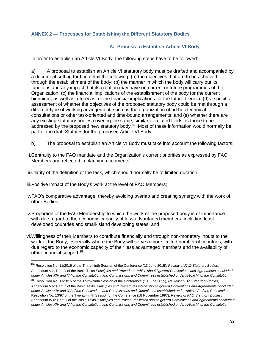#### **ANNEX 2 — Processes for Establishing the Different Statutory Bodies**

#### **A. Process to Establish Article VI Body**

In order to establish an Article VI Body, the following steps have to be followed:

a) A proposal to establish an Article VI statutory body must be drafted and accompanied by a document setting forth in detail the following: (a) the objectives that are to be achieved through the establishment of the body; (b) the manner in which the body will carry out its functions and any impact that its creation may have on current or future programmes of the Organization; (c) the financial implications of the establishment of the body for the current biennium, as well as a forecast of the financial implications for the future biennia; (d) a specific assessment of whether the objectives of the proposed statutory body could be met through a different type of working arrangement, such as the organization of ad hoc technical consultations or other task-oriented and time-bound arrangements; and (e) whether there are any existing statutory bodies covering the same, similar or related fields as those to be addressed by the proposed new statutory body.<sup>84</sup> Most of these information would normally be part of the draft Statutes for the proposed Article VI Body.

- b) The proposal to establish an Article VI Body must take into account the following factors:
- i.Centrality to the FAO mandate and the Organization's current priorities as expressed by FAO Members and reflected in planning documents;
- ii.Clarity of the definition of the task, which should normally be of limited duration;
- iii.Positive impact of the Body's work at the level of FAO Members;

- iv.FAO's comparative advantage, thereby avoiding overlap and creating synergy with the work of other Bodies;
- v.Proportion of the FAO Membership to which the work of the proposed body is of importance with due regard to the economic capacity of less-advantaged members, including least developed countries and small-island developing states; and
- vi.Willingness of their Members to contribute financially and through non-monetary inputs to the work of the Body, especially where the Body will serve a more limited number of countries, with due regard to the economic capacity of their less advantaged members and the availability of other financial support.<sup>85</sup>

<sup>84</sup> Resolution No. 11/2015 of the Thirty-ninth Session of the Conference (13 June 2015), *Review of FAO Statutory Bodies,*  Addendum V of Part O of the Basic Texts,*Principles and Procedures which should govern Conventions and Agreements concluded under Articles XIV and XV of the Constitution, and Commissions and Committees established under Article VI of the Constitution.*

<sup>85</sup> Resolution No. 11/2015 of the Thirty-ninth Session of the Conference (13 June 2015), *Review of FAO Statutory Bodies*, Addendum V to Part O of the Basic Texts, *Principles and Procedures which should govern Conventions and Agreements concluded under Articles XIV and XV of the Constitution, and Commissions and Committees established under Article VI of the Constitution;*  Resolution No. 13/97 of the Twenty-ninth Session of the Conference (18 November 1997), *Review of FAO Statutory Bodies*, Addendum IV to Part O of the Basic Texts, *Principles and Procedures which should govern Conventions and Agreements concluded under Articles XIV and XV of the Constitution, and Commissions and Committees established under Article VI of the Constitution.*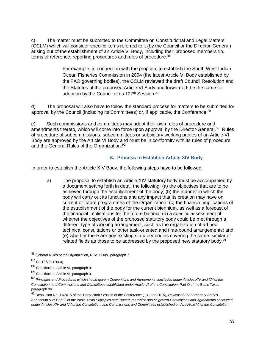c) The matter must be submitted to the Committee on Constitutional and Legal Matters (CCLM) which will consider specific items referred to it (by the Council or the Director-General) arising out of the establishment of an Article VI Body, including their proposed membership, terms of reference, reporting procedures and rules of procedure.<sup>86</sup>

> For example, in connection with the proposal to establish the South West Indian Ocean Fisheries Commission in 2004 (the latest Article VI Body established by the FAO governing bodies), the CCLM reviewed the draft Council Resolution and the Statutes of the proposed Article VI Body and forwarded the the same for adoption by the Council at its  $127<sup>th</sup>$  Session.<sup>87</sup>

d) The proposal will also have to follow the standard process for matters to be submitted for approval by the Council (including its Committees) or, if applicable, the Conference.<sup>88</sup>

e) Such commissions and committees may adopt their own rules of procedure and amendments thereto, which will come into force upon approval by the Director-General.<sup>89</sup> Rules of procedure of subcommissions, subcommittees or subsidiary working parties of an Article VI Body are approved by the Article VI Body and must be in conformity with its rules of procedure and the General Rules of the Organization.<sup>90</sup>

### **B. Process to Establish Article XIV Body**

In order to establish the Article XIV Body, the following steps have to be followed:

a) The proposal to establish an Article XIV statutory body must be accompanied by a document setting forth in detail the following: (a) the objectives that are to be achieved through the establishment of the body; (b) the manner in which the body will carry out its functions and any impact that its creation may have on current or future programmes of the Organization; (c) the financial implications of the establishment of the body for the current biennium, as well as a forecast of the financial implications for the future biennia; (d) a specific assessment of whether the objectives of the proposed statutory body could be met through a different type of working arrangement, such as the organization of ad hoc technical consultations or other task-oriented and time-bound arrangements; and (e) whether there are any existing statutory bodies covering the same, similar or related fields as those to be addressed by the proposed new statutory body.<sup>91</sup>

<sup>91</sup> Resolution No. 11/2015 of the Thirty-ninth Session of the Conference (13 June 2015), *Review of FAO Statutory Bodies,*  Addendum V of Part O of the Basic Texts,*Principles and Procedures which should govern Conventions and Agreements concluded under Articles XIV and XV of the Constitution, and Commissions and Committees established under Article VI of the Constitution.*

<sup>86</sup> General Rules of the Organization, Rule XXXIV, paragraph 7.

<sup>87</sup> CL 127/21 (2004).

<sup>88</sup> Constitution, Article VI, paragraph 3.

<sup>89</sup> Constitution, Article VI, paragraph 3.

<sup>90</sup> *Principles and Procedures which should govern Conventions and Agreements concluded under Articles XIV and XV of the*  Constitution, and Commissions and Committees established under Article VI of the Constitution, Part O of the Basic Texts, paragraph 36.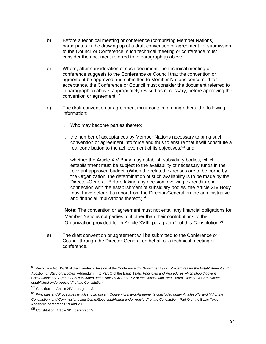- b) Before a technical meeting or conference (comprising Member Nations) participates in the drawing up of a draft convention or agreement for submission to the Council or Conference, such technical meeting or conference must consider the document referred to in paragraph a) above.
- c) Where, after consideration of such document, the technical meeting or conference suggests to the Conference or Council that the convention or agreement be approved and submitted to Member Nations concerned for acceptance, the Conference or Council must consider the document referred to in paragraph a) above, appropriately revised as necessary, before approving the convention or agreement.<sup>92</sup>
- d) The draft convention or agreement must contain, among others, the following information:
	- i. Who may become parties thereto;
	- ii. the number of acceptances by Member Nations necessary to bring such convention or agreement into force and thus to ensure that it will constitute a real contribution to the achievement of its objectives;<sup>93</sup> and
	- iii. whether the Article XIV Body may establish subsidiary bodies, which establishment must be subject to the availability of necessary funds in the relevant approved budget. (When the related expenses are to be borne by the Organization, the determination of such availability is to be made by the Director-General. Before taking any decision involving expenditure in connection with the establishment of subsidiary bodies, the Article XIV Body must have before it a report from the Director-General on the administrative and financial implications thereof.) $94$

**Note**: The convention or agreement must not entail any financial obligations for Member Nations not parties to it other than their contributions to the Organization provided for in Article XVIII, paragraph 2 of this Constitution.<sup>95</sup>

e) The draft convention or agreement will be submitted to the Conference or Council through the Director-General on behalf of a technical meeting or conference.

<sup>92</sup> Resolution No. 12/79 of the Twentieth Session of the Conference (27 November 1979), *Procedures for the Establishment and Abolition of Statutory Bodies,* Addendum III to Part O of the Basic Texts, *Principles and Procedures which should govern Conventions and Agreements concluded under Articles XIV and XV of the Constitution, and Commissions and Committees established under Article VI of the Constitution.*

<sup>93</sup> Constitution, Article XIV, paragraph 3.

<sup>94</sup> *Principles and Procedures which should govern Conventions and Agreements concluded under Articles XIV and XV of the*  Constitution, and Commissions and Committees established under Article VI of the Constitution, Part O of the Basic Texts, Appendix, paragraphs 19 and 20.

<sup>95</sup> Constitution, Article XIV, paragraph 3.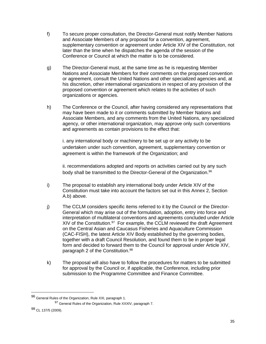- f) To secure proper consultation, the Director-General must notify Member Nations and Associate Members of any proposal for a convention, agreement, supplementary convention or agreement under Article XIV of the Constitution, not later than the time when he dispatches the agenda of the session of the Conference or Council at which the matter is to be considered.
- g) The Director-General must, at the same time as he is requesting Member Nations and Associate Members for their comments on the proposed convention or agreement, consult the United Nations and other specialized agencies and, at his discretion, other international organizations in respect of any provision of the proposed convention or agreement which relates to the activities of such organizations or agencies.
- h) The Conference or the Council, after having considered any representations that may have been made to it or comments submitted by Member Nations and Associate Members, and any comments from the United Nations, any specialized agency, or other international organization, may approve only such conventions and agreements as contain provisions to the effect that:

i. any international body or machinery to be set up or any activity to be undertaken under such convention, agreement, supplementary convention or agreement is within the framework of the Organization; and

ii. recommendations adopted and reports on activities carried out by any such body shall be transmitted to the Director-General of the Organization.<sup>96</sup>

- i) The proposal to establish any international body under Article XIV of the Constitution must take into account the factors set out in this Annex 2, Section A.b) above.
- j) The CCLM considers specific items referred to it by the Council or the Director-General which may arise out of the formulation, adoption, entry into force and interpretation of multilateral conventions and agreements concluded under Article XIV of the Constitution. $97$  For example, the CCLM reviewed the draft Agreement on the Central Asian and Caucasus Fisheries and Aquaculture Commission (CAC-FISH), the latest Article XIV Body established by the governing bodies, together with a draft Council Resolution, and found them to be in proper legal form and decided to forward them to the Council for approval under Article XIV, paragraph 2 of the Constitution.<sup>98</sup>
- k) The proposal will also have to follow the procedures for matters to be submitted for approval by the Council or, if applicable, the Conference, including prior submission to the Programme Committee and Finance Committee.

<sup>96</sup> General Rules of the Organization, Rule XXI, paragraph 1.

<sup>97</sup> General Rules of the Organization, Rule XXXIV, paragraph 7.

<sup>98</sup> CL 137/5 (2009).